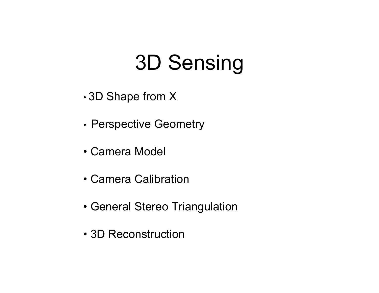# 3D Sensing

- •3D Shape from X
- •Perspective Geometry
- •Camera Model
- •Camera Calibration
- General Stereo Triangulation
- •3D Reconstruction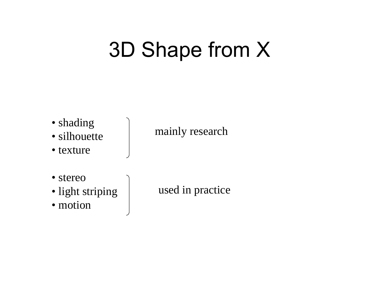# 3D Shape from X



- silhouette
- $\bullet$  texture

#### mainly research

- stereo
- light striping
- motion

used in practice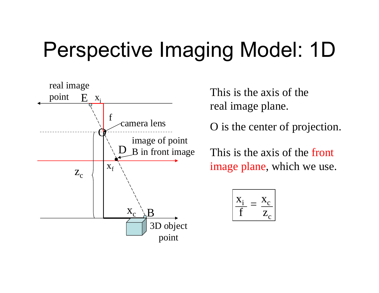# Perspective Imaging Model: 1D



This is the axis of the real image plane.

O is the center of projection.

This is the axis of the frontimage plane, which we use.

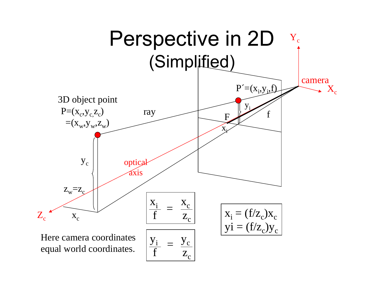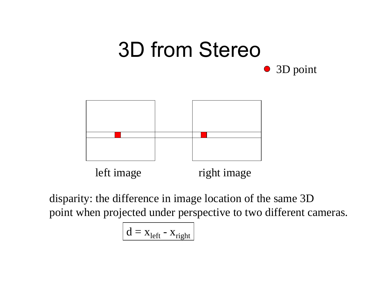#### 3D from Stereo 3D point  $\bullet$



disparity: the difference in image location of the same 3D point when projected under perspective to two different cameras.

$$
d = x_{left} - x_{right}
$$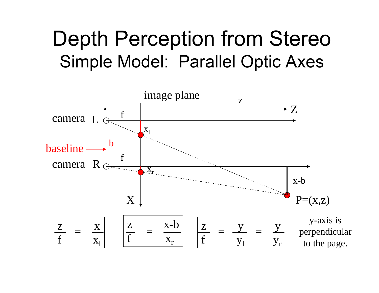# Depth Perception from Stereo Simple Model: Parallel Optic Axes

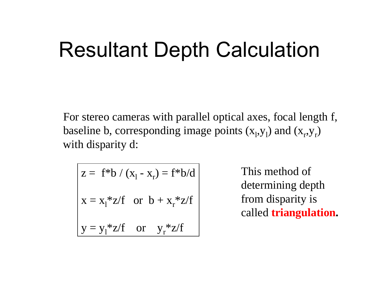# Resultant Depth Calculation

For stereo cameras with parallel optical axes, focal length f, baseline b, corresponding image points  $(x_1, y_1)$  and  $(x_r, y_r)$ with disparity d:

$$
z = f * b / (x_1 - x_r) = f * b/d
$$
  

$$
x = x_1 * z/f \text{ or } b + x_r * z/f
$$
  

$$
y = y_1 * z/f \text{ or } y_r * z/f
$$

This method ofdetermining depth from disparity is called **triangulation.**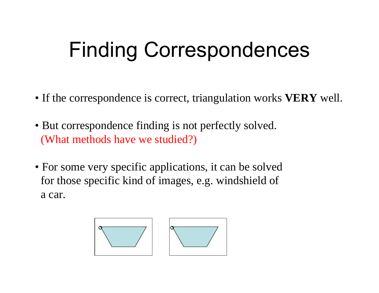# Finding Correspondences

- If the correspondence is correct, triangulation works **VERY** well.
- But correspondence finding is not perfectly solved. (What methods have we studied?)
- For some very specific applications, it can be solved for those specific kind of images, e.g. windshield of a car.

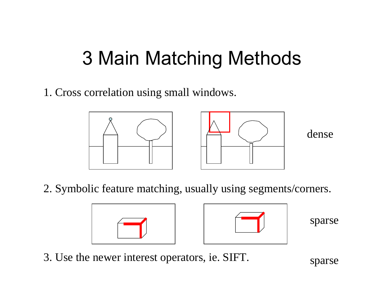# 3 Main Matching Methods

1. Cross correlation using small windows.



2. Symbolic feature matching, usually using segments/corners.





sparse

3. Use the newer interest operators, ie. SIFT.

sparse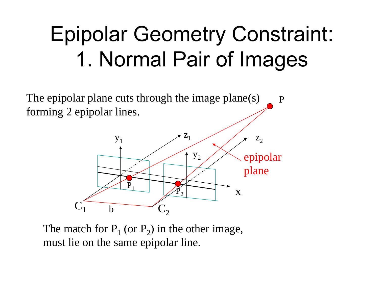# Epipolar Geometry Constraint: 1. Normal Pair of Images

The epipolar plane cuts through the image plane(s) forming 2 epipolar lines. P



The match for  $P_1$  (or  $P_2$ ) in the other image, must lie on the same epipolar line.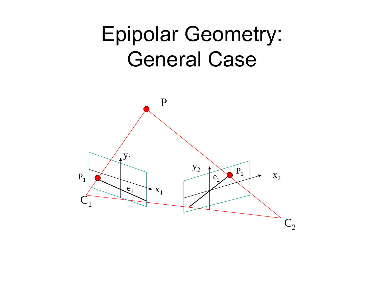# Epipolar Geometry: General Case

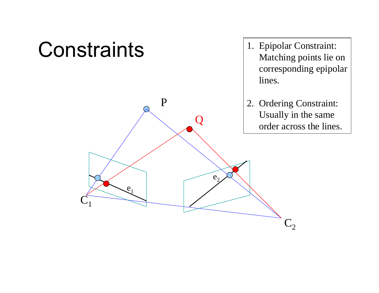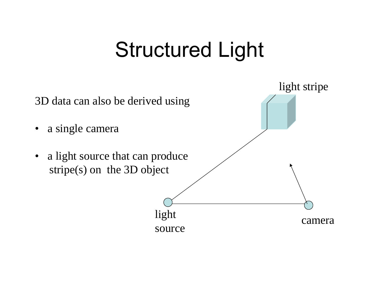# Structured Light

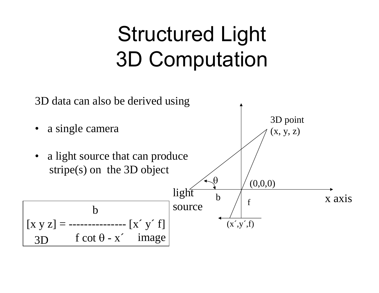# Structured Light 3D Computation

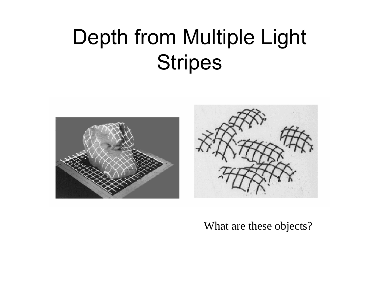# Depth from Multiple Light Stripes



#### What are these objects?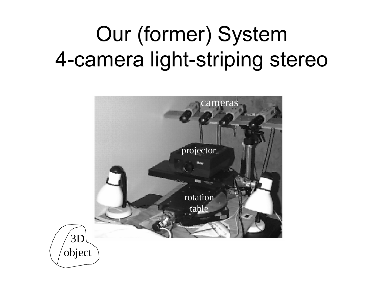# Our (former) System 4-camera light-striping stereo



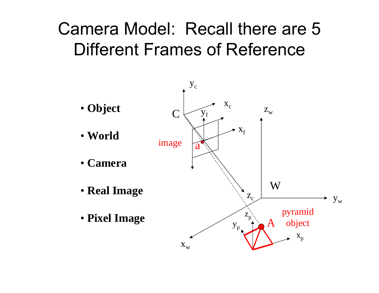## Camera Model: Recall there are 5 Different Frames of Reference

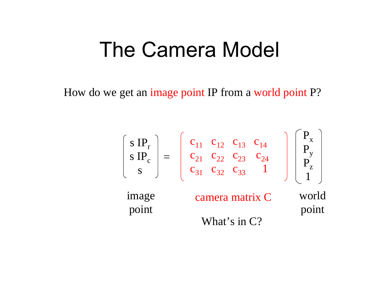# The Camera Model

How do we get an image point IP from a world point P?

$$
\begin{bmatrix}\ns IP_{r} \\
s IP_{c} \\
s\end{bmatrix} = \begin{bmatrix}\nc_{11} & c_{12} & c_{13} & c_{14} \\
c_{21} & c_{22} & c_{23} & c_{24} \\
c_{31} & c_{32} & c_{33} & 1\n\end{bmatrix} \begin{bmatrix}\nP_{x} \\
P_{y} \\
P_{z} \\
1\n\end{bmatrix}
$$
\nimage\n
$$
\begin{aligned}\n\text{image} \\
\text{connect} \\
\text{What's in C?}\n\end{aligned}
$$
\n
$$
\begin{aligned}\n\text{what's in C?}\n\end{aligned}
$$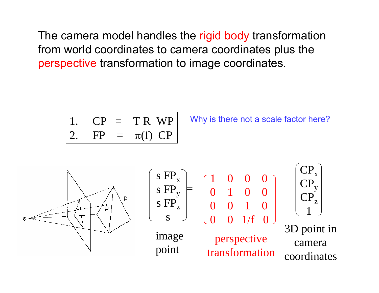The camera model handles the rigid body transformation from world coordinates to camera coordinates plus the perspective transformation to image coordinates.

1. 
$$
CP = TRWP
$$
2. 
$$
FP = \pi(f) CP
$$

Why is there not a scale factor here?

![](_page_18_Figure_3.jpeg)

$$
\left(\begin{array}{c}\n\text{s FP}_{\text{x}} \\
\text{s FP}_{\text{y}} \\
\text{s FP}_{\text{z}}\n\end{array}\right) =
$$

point

$$
\begin{array}{c}\n \text{s } \text{FP}_z \\
 \text{s} \\
 \text{inage} \\
 \text{inage}\n \end{array}\n \quad\n \begin{array}{c}\n 0 & 0 & 1 & 0 \\
 0 & 0 & 1 \text{ /f} \\
 \text{inage} \\
 \text{inage}\n \end{array}
$$

perspective transformation

 $1/f$  0

1 0 0 0

0 1 0 0

![](_page_18_Picture_7.jpeg)

3D point in cameracoordinates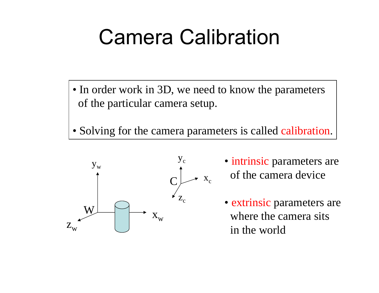# Camera Calibration

- In order work in 3D, we need to know the parameters of the particular camera setup.
- Solving for the camera parameters is called calibration.

![](_page_19_Figure_3.jpeg)

- intrinsic parameters are of the camera device
- extrinsic parameters are where the camera sits in the world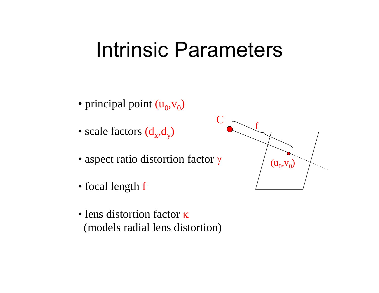# Intrinsic Parameters

- principal point  $(u_0, v_0)$
- scale factors  $(\rm d_{\rm x},\rm d_{\rm y})$
- aspect ratio distortion factor γ
- focal length f
- lens distortion factor κ (models radial lens distortion)

![](_page_20_Picture_6.jpeg)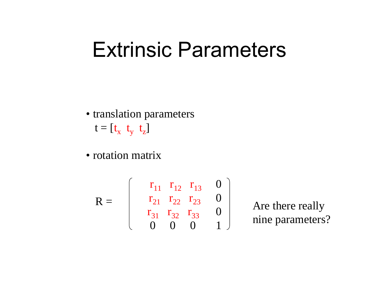# Extrinsic Parameters

- translation parameters  $\bm{{\mathsf{t}}} = [\bm{{\mathsf{t}}}_{{\mathsf{x}}}\ \ \bm{{\mathsf{t}}}_{{\mathsf{y}}}$  $\mathfrak{t}_{\mathrm{z}}$ ]
- rotation matrix

$$
R = \begin{bmatrix} r_{11} & r_{12} & r_{13} & 0 \\ r_{21} & r_{22} & r_{23} & 0 \\ r_{31} & r_{32} & r_{33} & 0 \\ 0 & 0 & 0 & 1 \end{bmatrix}
$$

 Are there really nine parameters?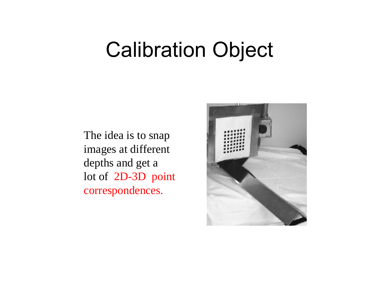# Calibration Object

The idea is to snap images at different depths and get a lot of 2D-3D point correspondences.

![](_page_22_Picture_2.jpeg)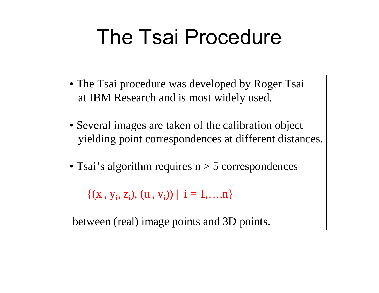# The Tsai Procedure

- The Tsai procedure was developed by Roger Tsai at IBM Research and is most widely used.
- Several images are taken of the calibration object yielding point correspondences at different distances.
- Tsai's algorithm requires n > 5 correspondences

 $\{(x_i, y_i, z_i), (u_i, v_i)\}\,|\,i=1,...,n\}$ 

between (real) image points and 3D points.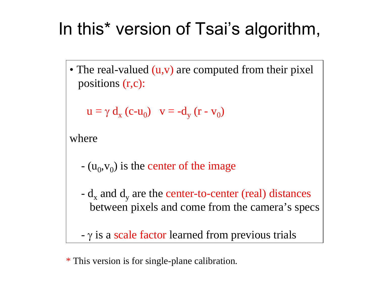## In this\* version of Tsai's algorithm,

• The real-valued (u,v) are computed from their pixel positions (r,c):

$$
u = \gamma d_x (c - u_0) \quad v = -d_y (r - v_0)
$$

where

- $(u_0, v_0)$  is the center of the image
- $\rm d_{x}$  and  $\rm d_{y}$  are the center-to-center (real) distances between pixels and come from the camera's specs

 $- \gamma$  is a scale factor learned from previous trials

\* This version is for single-plane calibration.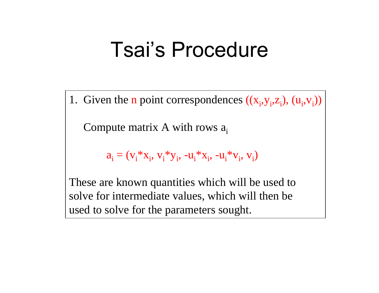# Tsai's Procedure

1. Given the **n** point correspondences  $((x_i, y_i, z_i), (u_i, v_i))$ 

Compute matrix A with rows  $a_i$ 

$$
a_i = (v_i^* x_i, v_i^* y_i, -u_i^* x_i, -u_i^* v_i, v_i)
$$

These are known quantities which will be used to solve for intermediate values, which will then be used to solve for the parameters sought.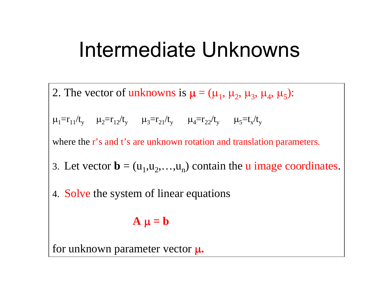# Intermediate Unknowns

2. The vector of unknowns is  $\mu = (\mu_1, \mu_2, \mu_3, \mu_4, \mu_5)$ :

 $\mu_1=r_{11}/t_y \ \ \ \ \ \mu_2=r_{12}/t_y \ \ \ \ \ \ \ \mu_3=r_{21}/t_y \ \ \ \ \ \ \ \mu_4=r_{22}/t_y \ \ \ \ \ \ \ \mu_5=t_x/t_y$ 

where the r's and t's are unknown rotation and translation parameters.

- 3. Let vector  $\mathbf{b} = (u_1, u_2, \dots, u_n)$  contain the **u** image coordinates.
- 4. Solve the system of linear equations

$$
A \mu = b
$$

for unknown parameter vector  $\boldsymbol{\mu}.$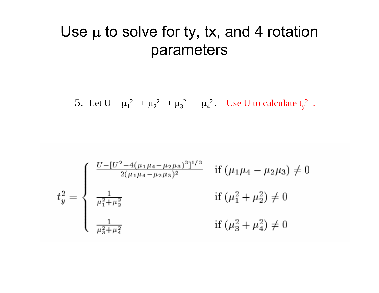#### Use  $\mu$  to solve for ty, tx, and 4 rotation parameters

5. Let  $U = \mu_1^2 + \mu_2^2 + \mu_3^2 + \mu_4^2$ . Use U to calculate  $t_v^2$ .

$$
t_y^2 = \begin{cases} \frac{U - [U^2 - 4(\mu_1 \mu_4 - \mu_2 \mu_3)^2]^{1/2}}{2(\mu_1 \mu_4 - \mu_2 \mu_3)^2} & \text{if } (\mu_1 \mu_4 - \mu_2 \mu_3) \neq 0 \\ \frac{1}{\mu_1^2 + \mu_2^2} & \text{if } (\mu_1^2 + \mu_2^2) \neq 0 \\ \frac{1}{\mu_3^2 + \mu_4^2} & \text{if } (\mu_3^2 + \mu_4^2) \neq 0 \end{cases}
$$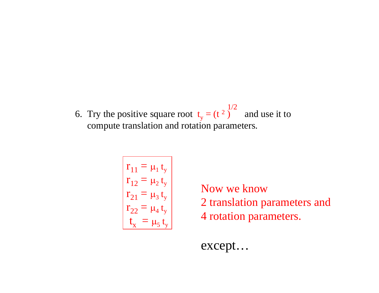6. Try the positive square root  $t_y = (t^2 - t^2)$ ) and use it to compute translation and rotation parameters. 1/2

$$
\begin{vmatrix}\nr_{11} = \mu_1 t_y \\
r_{12} = \mu_2 t_y \\
r_{21} = \mu_3 t_y \\
r_{22} = \mu_4 t_y \\
t_x = \mu_5 t_y\n\end{vmatrix}
$$

Now we know 2 translation parameters and 4 rotation parameters.

except…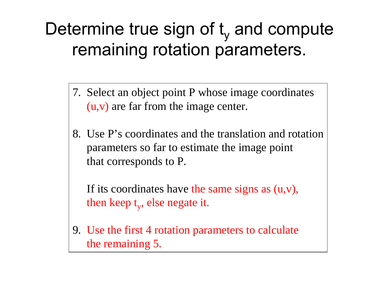## Determine true sign of t<sub>y</sub> and compute remaining rotation parameters.

- 7. Select an object point P whose image coordinates (u,v) are far from the image center.
- 8. Use P's coordinates and the translation and rotationparameters so far to estimate the image point that corresponds to P.

If its coordinates have the same signs as (u,v), then keep t<sub>y</sub>, else negate it.

9. Use the first 4 rotation parameters to calculate the remaining 5.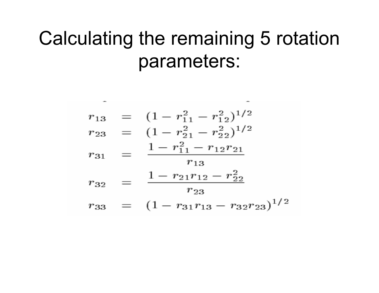## Calculating the remaining 5 rotation parameters:

$$
r_{13} = (1 - r_{11}^2 - r_{12}^2)^{1/2}
$$
  
\n
$$
r_{23} = (1 - r_{21}^2 - r_{22}^2)^{1/2}
$$
  
\n
$$
r_{31} = \frac{1 - r_{11}^2 - r_{12}r_{21}}{r_{13}}
$$
  
\n
$$
r_{32} = \frac{1 - r_{21}r_{12} - r_{22}^2}{r_{23}}
$$
  
\n
$$
r_{33} = (1 - r_{31}r_{13} - r_{32}r_{23})^{1/2}
$$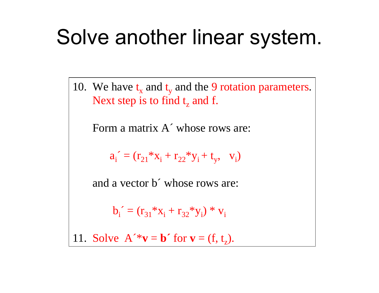# Solve another linear system.

10. We have  $\bm{{\mathsf{t}}}_{\text{x}}$  and  $\bm{{\mathsf{t}}}$ <sub>y</sub> and the 9 rotation parameters. Next step is to find  $t_{z}$  and f.

Form a matrix A´ whose rows are:

 $a_i^{\prime} = (r_{21} * x_i + r_{22} * y_i + t_y, v_i)$ 

and a vector b´ whose rows are:

 $b_i^{\texttt{I}} = (r_{31} * x_i + r_{32} * y_i) * v_i$ 

11. Solve  $A^{\prime *}v = b^{\prime}$  for  $v = (f, t_z)$ .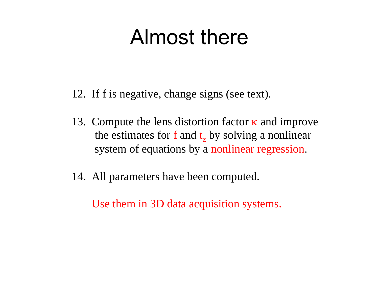# Almost there

- 12. If f is negative, change signs (see text).
- 13. Compute the lens distortion factor  $\kappa$  and improve the estimates for  $f$  and  $t_z$  by solving a nonlinear system of equations by a nonlinear regression.
- 14. All parameters have been computed.

Use them in 3D data acquisition systems.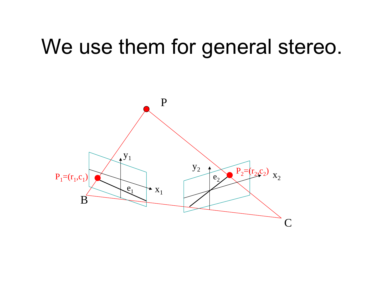# We use them for general stereo.

![](_page_33_Figure_1.jpeg)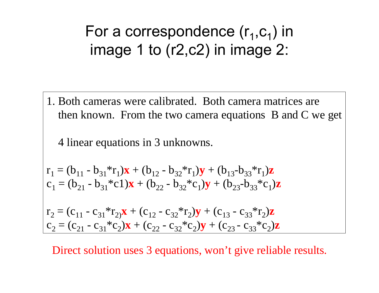## For a correspondence  $(\mathsf{r}_\mathtt{1}, \mathsf{c}_\mathtt{1})$  in image 1 to (r2,c2) in image 2:

1. Both cameras were calibrated. Both camera matrices are then known. From the two camera equations B and C we get

4 linear equations in 3 unknowns.

$$
\mathbf{r}_1 = (\mathbf{b}_{11} - \mathbf{b}_{31} * \mathbf{r}_1) \mathbf{x} + (\mathbf{b}_{12} - \mathbf{b}_{32} * \mathbf{r}_1) \mathbf{y} + (\mathbf{b}_{13} - \mathbf{b}_{33} * \mathbf{r}_1) \mathbf{z}
$$
  
\n
$$
\mathbf{c}_1 = (\mathbf{b}_{21} - \mathbf{b}_{31} * \mathbf{c}_1) \mathbf{x} + (\mathbf{b}_{22} - \mathbf{b}_{32} * \mathbf{c}_1) \mathbf{y} + (\mathbf{b}_{23} - \mathbf{b}_{33} * \mathbf{c}_1) \mathbf{z}
$$

 $r_2 = (c_{11} - c_{31} * r_{21})\mathbf{x} + (c_{12} - c_{32} * r_{2})\mathbf{y} + (c_{13} - c_{33} * r_{2})\mathbf{z}$  $c_2 = (c_{21} - c_{31} * c_2) \mathbf{x} + (c_{22} - c_{32} * c_2) \mathbf{y} + (c_{23} - c_{33} * c_2) \mathbf{z}$ 

Direct solution uses 3 equations, won't give reliable results.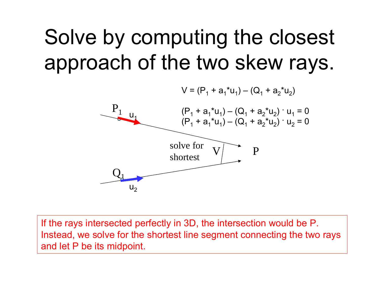# Solve by computing the closest approach of the two skew rays.

![](_page_35_Figure_1.jpeg)

If the rays intersected perfectly in 3D, the intersection would be P. Instead, we solve for the shortest line segment connecting the two rays and let P be its midpoint.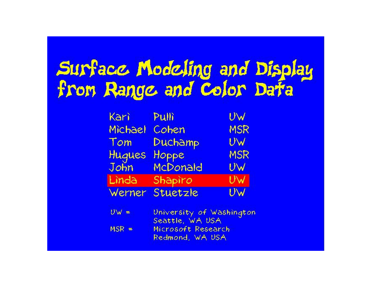# Surface Modeling and Display<br>from Range and Color Data

| Kari    | Pulli    | UW         |
|---------|----------|------------|
| Michael | Cohen    | <b>MSR</b> |
| Tom     | Duchamp  | UW         |
| Hugues  | Hoppe    | <b>MSR</b> |
| John    | McDonald | UW         |
| Lìnda   | Shapiro  | UW         |
| Werner  | Stuetzle | UW         |

| $Uw =$  | University of Washington |
|---------|--------------------------|
|         | Seattle, WA USA          |
| $MSR =$ | Microsoft Research       |
|         | Redmond, WA USA          |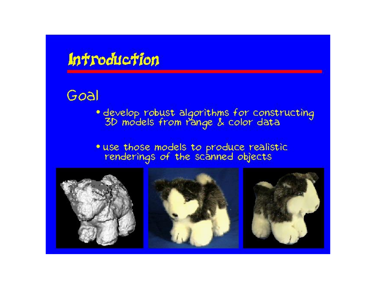### Introduction

#### Goal

- · develop robust algorithms for constructing<br>3D models from range & color data
- · use those models to produce realistic<br>renderings of the scanned objects

![](_page_37_Picture_4.jpeg)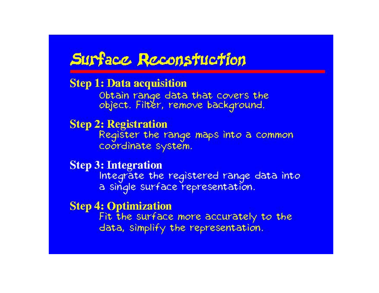### Surface Reconstuction

#### **Step 1: Data acquisition**

Obtain range data that covers the object. Filter, remove background.

#### **Step 2: Registration**

Register the range maps into a common coordinate system.

#### **Step 3: Integration**

Integrate the registered range data into a single surface representation.

#### **Step 4: Optimization**

Fit the surface more accurately to the data, simplify the representation.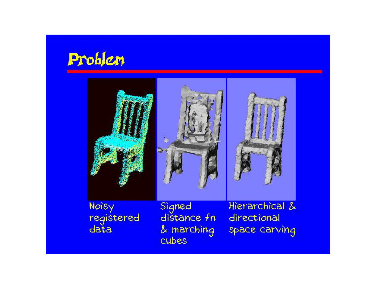![](_page_39_Picture_0.jpeg)

![](_page_39_Picture_1.jpeg)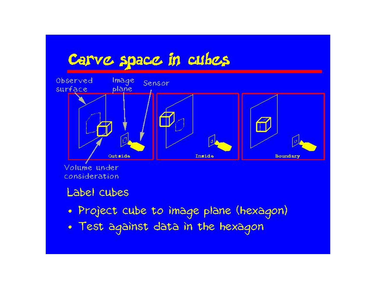## Carve space in cubes

![](_page_40_Figure_1.jpeg)

Volume under consideration

#### Label cubes

- · Project cube to image plane (hexagon)
- . Test against data in the hexagon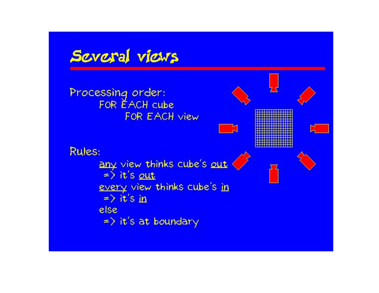![](_page_41_Figure_0.jpeg)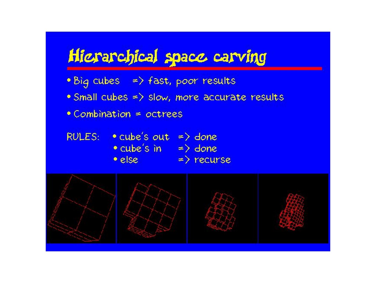## Hierarchical space carving

- Big cubes => fast, poor results
- Small cubes => slow, more accurate results
- Combination = octrees
- RULES:  $\bullet$  cube's out => done • cube's in => done<br>• else => recurse

![](_page_42_Figure_5.jpeg)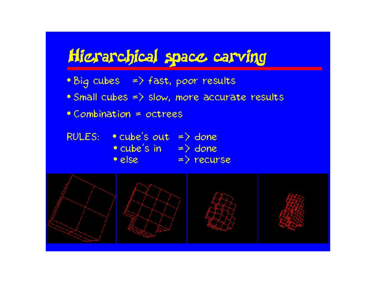## Hierarchical space carving

- Big cubes => fast, poor results
- Small cubes => slow, more accurate results
- Combination = octrees
- RULES:  $\bullet$  cube's out => done • cube's in => done<br>• else => recurse

![](_page_43_Figure_5.jpeg)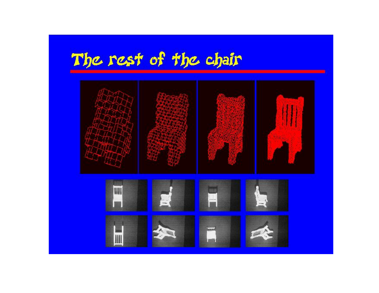# The rest of the chair

![](_page_44_Picture_1.jpeg)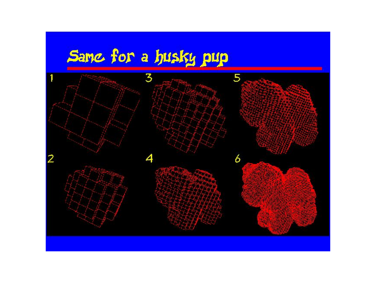# Sanc for a husky pup

![](_page_45_Figure_1.jpeg)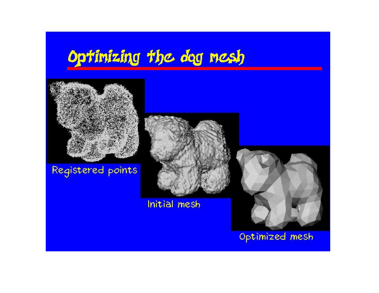## Optinizing the dog nesh

![](_page_46_Figure_1.jpeg)

#### Registered points

![](_page_46_Picture_3.jpeg)

Initial mesh

![](_page_46_Picture_5.jpeg)

Optimized mesh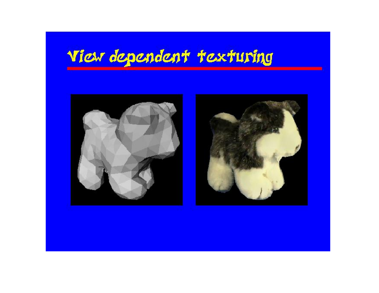## View dependent texturing

![](_page_47_Picture_1.jpeg)

![](_page_47_Picture_2.jpeg)